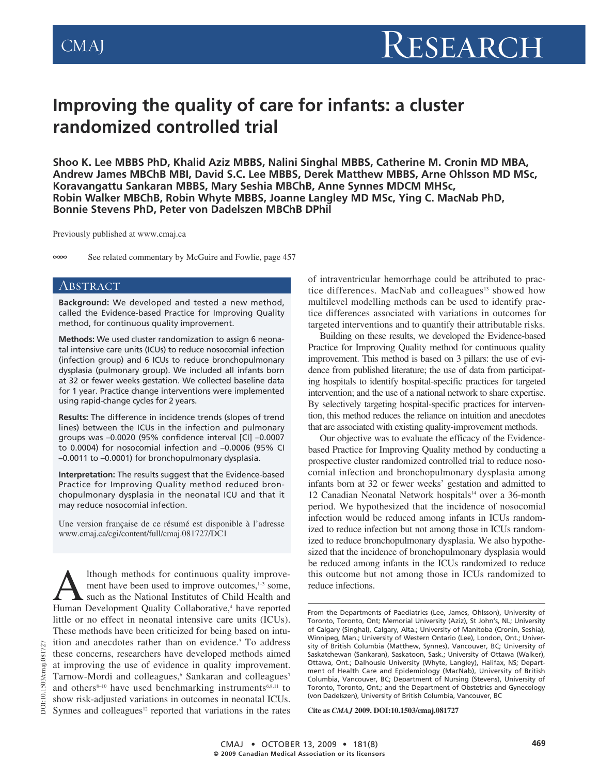# **Improving the quality of care for infants: a cluster randomized controlled trial**

**Shoo K. Lee MBBS PhD, Khalid Aziz MBBS, Nalini Singhal MBBS, Catherine M. Cronin MD MBA, Andrew James MBChB MBI, David S.C. Lee MBBS, Derek Matthew MBBS, Arne Ohlsson MD MSc, Koravangattu Sankaran MBBS, Mary Seshia MBChB, Anne Synnes MDCM MHSc, Robin Walker MBChB, Robin Whyte MBBS, Joanne Langley MD MSc, Ying C. MacNab PhD, Bonnie Stevens PhD, Peter von Dadelszen MBChB DPhil**

Previously published at www.cmaj.ca

 $\infty$ See related commentary by McGuire and Fowlie, page 457

## Abstract

**Background:** We developed and tested a new method, called the Evidence-based Practice for Improving Quality method, for continuous quality improvement.

**Methods:** We used cluster randomization to assign 6 neonatal intensive care units (ICUs) to reduce nosocomial infection (infection group) and 6 ICUs to reduce bronchopulmonary dysplasia (pulmonary group). We included all infants born at 32 or fewer weeks gestation. We collected baseline data for 1 year. Practice change interventions were implemented using rapid-change cycles for 2 years.

**Results:** The difference in incidence trends (slopes of trend lines) between the ICUs in the infection and pulmonary groups was –0.0020 (95% confidence interval [CI] –0.0007 to 0.0004) for nosocomial infection and –0.0006 (95% CI –0.0011 to –0.0001) for bronchopulmonary dysplasia.

**Interpretation:** The results suggest that the Evidence-based Practice for Improving Quality method reduced bronchopulmonary dysplasia in the neonatal ICU and that it may reduce nosocomial infection.

Une version française de ce résumé est disponible à l'adresse www.cmaj.ca/cgi/content/full/cmaj.081727/DC1

Ithough methods for continuous quality improve-<br>ment have been used to improve outcomes,<sup>1-3</sup> some,<br>such as the National Institutes of Child Health and<br>Human Development Quality Collaborative,<sup>4</sup> have reported ment have been used to improve outcomes, $1-3$  some, such as the National Institutes of Child Health and Human Development Quality Collaborative,<sup>4</sup> have reported little or no effect in neonatal intensive care units (ICUs). These methods have been criticized for being based on intuition and anecdotes rather than on evidence.<sup>5</sup> To address these concerns, researchers have developed methods aimed at improving the use of evidence in quality improvement. Tarnow-Mordi and colleagues,<sup>6</sup> Sankaran and colleagues<sup>7</sup> and others<sup>8-10</sup> have used benchmarking instruments<sup>6,8,11</sup> to show risk-adjusted variations in outcomes in neonatal ICUs. Synnes and colleagues<sup>12</sup> reported that variations in the rates of intraventricular hemorrhage could be attributed to practice differences. MacNab and colleagues<sup>13</sup> showed how multilevel modelling methods can be used to identify practice differences associated with variations in outcomes for targeted interventions and to quantify their attributable risks.

Building on these results, we developed the Evidence-based Practice for Improving Quality method for continuous quality improvement. This method is based on 3 pillars: the use of evidence from published literature; the use of data from participating hospitals to identify hospital-specific practices for targeted intervention; and the use of a national network to share expertise. By selectively targeting hospital-specific practices for intervention, this method reduces the reliance on intuition and anecdotes that are associated with existing quality-improvement methods.

Our objective was to evaluate the efficacy of the Evidencebased Practice for Improving Quality method by conducting a prospective cluster randomized controlled trial to reduce nosocomial infection and bronchopulmonary dysplasia among infants born at 32 or fewer weeks' gestation and admitted to 12 Canadian Neonatal Network hospitals<sup>14</sup> over a 36-month period. We hypothesized that the incidence of nosocomial infection would be reduced among infants in ICUs randomized to reduce infection but not among those in ICUs randomized to reduce bronchopulmonary dysplasia. We also hypothesized that the incidence of bronchopulmonary dysplasia would be reduced among infants in the ICUs randomized to reduce this outcome but not among those in ICUs randomized to reduce infections.

**Cite as** *CMAJ* **2009. DOI:10.1503/cmaj.081727**

From the Departments of Paediatrics (Lee, James, Ohlsson), University of Toronto, Toronto, Ont; Memorial University (Aziz), St John's, NL; University of Calgary (Singhal), Calgary, Alta.; University of Manitoba (Cronin, Seshia), Winnipeg, Man.; University of Western Ontario (Lee), London, Ont.; University of British Columbia (Matthew, Synnes), Vancouver, BC; University of Saskatchewan (Sankaran), Saskatoon, Sask.; University of Ottawa (Walker), Ottawa, Ont.; Dalhousie University (Whyte, Langley), Halifax, NS; Department of Health Care and Epidemiology (MacNab), University of British Columbia, Vancouver, BC; Department of Nursing (Stevens), University of Toronto, Toronto, Ont.; and the Department of Obstetrics and Gynecology (von Dadelszen), University of British Columbia, Vancouver, BC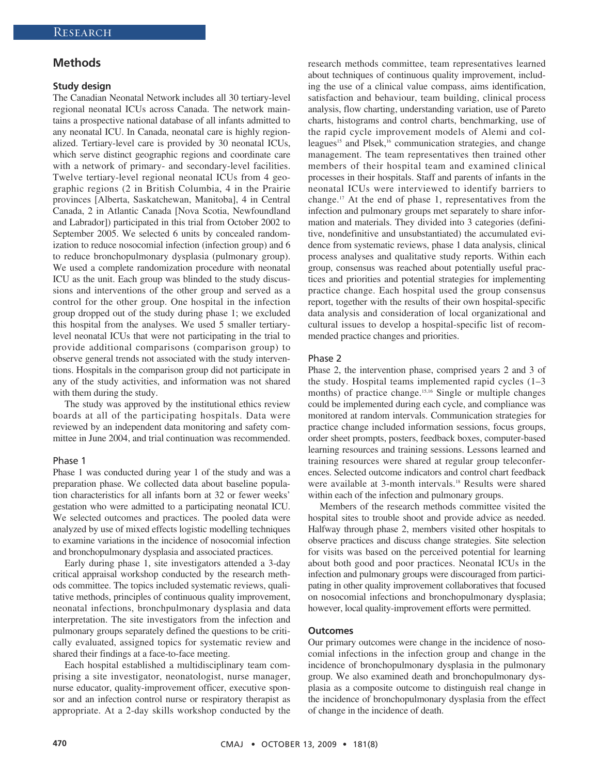# **Methods**

## **Study design**

The Canadian Neonatal Network includes all 30 tertiary-level regional neonatal ICUs across Canada. The network maintains a prospective national database of all infants admitted to any neonatal ICU. In Canada, neonatal care is highly regionalized. Tertiary-level care is provided by 30 neonatal ICUs, which serve distinct geographic regions and coordinate care with a network of primary- and secondary-level facilities. Twelve tertiary-level regional neonatal ICUs from 4 geographic regions (2 in British Columbia, 4 in the Prairie provinces [Alberta, Saskatchewan, Manitoba], 4 in Central Canada, 2 in Atlantic Canada [Nova Scotia, Newfoundland and Labrador]) participated in this trial from October 2002 to September 2005. We selected 6 units by concealed randomization to reduce nosocomial infection (infection group) and 6 to reduce bronchopulmonary dysplasia (pulmonary group). We used a complete randomization procedure with neonatal ICU as the unit. Each group was blinded to the study discussions and interventions of the other group and served as a control for the other group. One hospital in the infection group dropped out of the study during phase 1; we excluded this hospital from the analyses. We used 5 smaller tertiarylevel neonatal ICUs that were not participating in the trial to provide additional comparisons (comparison group) to observe general trends not associated with the study interventions. Hospitals in the comparison group did not participate in any of the study activities, and information was not shared with them during the study.

The study was approved by the institutional ethics review boards at all of the participating hospitals. Data were reviewed by an independent data monitoring and safety committee in June 2004, and trial continuation was recommended.

## Phase 1

Phase 1 was conducted during year 1 of the study and was a preparation phase. We collected data about baseline population characteristics for all infants born at 32 or fewer weeks' gestation who were admitted to a participating neonatal ICU. We selected outcomes and practices. The pooled data were analyzed by use of mixed effects logistic modelling techniques to examine variations in the incidence of nosocomial infection and bronchopulmonary dysplasia and associated practices.

Early during phase 1, site investigators attended a 3-day critical appraisal workshop conducted by the research methods committee. The topics included systematic reviews, qualitative methods, principles of continuous quality improvement, neonatal infections, bronchpulmonary dysplasia and data interpretation. The site investigators from the infection and pulmonary groups separately defined the questions to be critically evaluated, assigned topics for systematic review and shared their findings at a face-to-face meeting.

Each hospital established a multidisciplinary team comprising a site investigator, neonatologist, nurse manager, nurse educator, quality-improvement officer, executive sponsor and an infection control nurse or respiratory therapist as appropriate. At a 2-day skills workshop conducted by the research methods committee, team representatives learned about techniques of continuous quality improvement, including the use of a clinical value compass, aims identification, satisfaction and behaviour, team building, clinical process analysis, flow charting, understanding variation, use of Pareto charts, histograms and control charts, benchmarking, use of the rapid cycle improvement models of Alemi and colleagues<sup>15</sup> and Plsek,<sup>16</sup> communication strategies, and change management. The team representatives then trained other members of their hospital team and examined clinical processes in their hospitals. Staff and parents of infants in the neonatal ICUs were interviewed to identify barriers to change.17 At the end of phase 1, representatives from the infection and pulmonary groups met separately to share information and materials. They divided into 3 categories (definitive, nondefinitive and unsubstantiated) the accumulated evidence from systematic reviews, phase 1 data analysis, clinical process analyses and qualitative study reports. Within each group, consensus was reached about potentially useful practices and priorities and potential strategies for implementing practice change. Each hospital used the group consensus report, together with the results of their own hospital-specific data analysis and consideration of local organizational and cultural issues to develop a hospital-specific list of recommended practice changes and priorities.

#### Phase 2

Phase 2, the intervention phase, comprised years 2 and 3 of the study. Hospital teams implemented rapid cycles (1–3 months) of practice change.15,16 Single or multiple changes could be implemented during each cycle, and compliance was monitored at random intervals. Communication strategies for practice change included information sessions, focus groups, order sheet prompts, posters, feedback boxes, computer-based learning resources and training sessions. Lessons learned and training resources were shared at regular group teleconferences. Selected outcome indicators and control chart feedback were available at 3-month intervals.<sup>18</sup> Results were shared within each of the infection and pulmonary groups.

Members of the research methods committee visited the hospital sites to trouble shoot and provide advice as needed. Halfway through phase 2, members visited other hospitals to observe practices and discuss change strategies. Site selection for visits was based on the perceived potential for learning about both good and poor practices. Neonatal ICUs in the infection and pulmonary groups were discouraged from participating in other quality improvement collaboratives that focused on nosocomial infections and bronchopulmonary dysplasia; however, local quality-improvement efforts were permitted.

## **Outcomes**

Our primary outcomes were change in the incidence of nosocomial infections in the infection group and change in the incidence of bronchopulmonary dysplasia in the pulmonary group. We also examined death and bronchopulmonary dysplasia as a composite outcome to distinguish real change in the incidence of bronchopulmonary dysplasia from the effect of change in the incidence of death.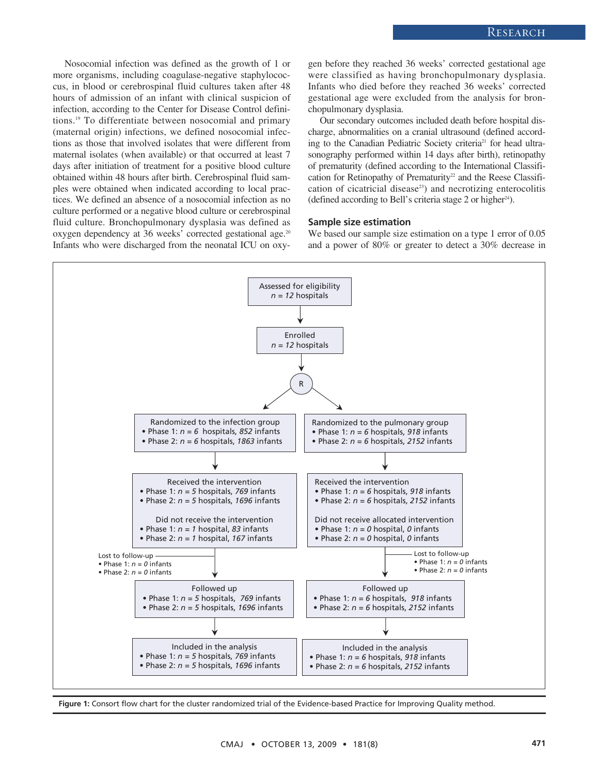Nosocomial infection was defined as the growth of 1 or more organisms, including coagulase-negative staphylococcus, in blood or cerebrospinal fluid cultures taken after 48 hours of admission of an infant with clinical suspicion of infection, according to the Center for Disease Control definitions.19 To differentiate between nosocomial and primary (maternal origin) infections, we defined nosocomial infections as those that involved isolates that were different from maternal isolates (when available) or that occurred at least 7 days after initiation of treatment for a positive blood culture obtained within 48 hours after birth. Cerebrospinal fluid samples were obtained when indicated according to local practices. We defined an absence of a nosocomial infection as no culture performed or a negative blood culture or cerebrospinal fluid culture. Bronchopulmonary dysplasia was defined as oxygen dependency at 36 weeks' corrected gestational age.<sup>20</sup> Infants who were discharged from the neonatal ICU on oxygen before they reached 36 weeks' corrected gestational age were classified as having bronchopulmonary dysplasia. Infants who died before they reached 36 weeks' corrected gestational age were excluded from the analysis for bronchopulmonary dysplasia.

Our secondary outcomes included death before hospital discharge, abnormalities on a cranial ultrasound (defined according to the Canadian Pediatric Society criteria<sup>21</sup> for head ultrasonography performed within 14 days after birth), retinopathy of prematurity (defined according to the International Classification for Retinopathy of Prematurity<sup>22</sup> and the Reese Classification of cicatricial disease<sup>23</sup>) and necrotizing enterocolitis (defined according to Bell's criteria stage  $2$  or higher<sup>24</sup>).

## **Sample size estimation**

We based our sample size estimation on a type 1 error of  $0.05$ and a power of 80% or greater to detect a 30% decrease in



**Figure 1:** Consort flow chart for the cluster randomized trial of the Evidence-based Practice for Improving Quality method.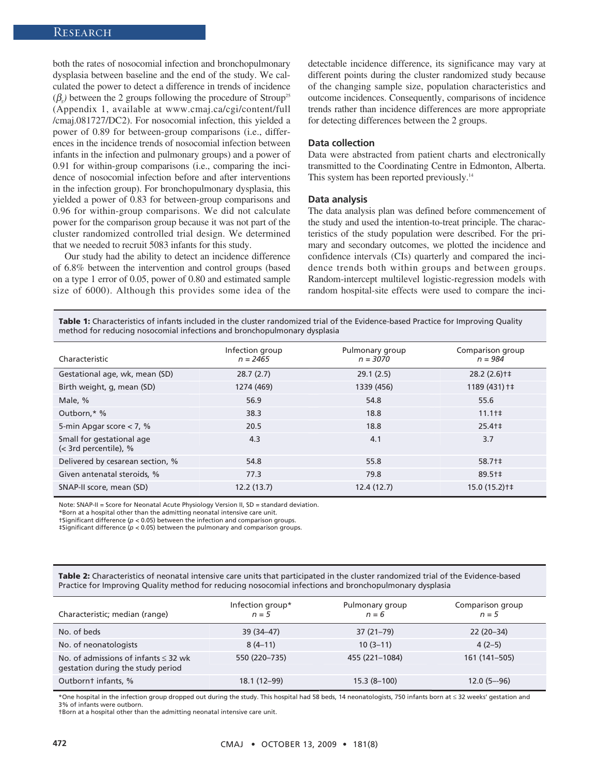both the rates of nosocomial infection and bronchopulmonary dysplasia between baseline and the end of the study. We calculated the power to detect a difference in trends of incidence  $(\beta_e)$  between the 2 groups following the procedure of Stroup<sup>25</sup> (Appendix 1, available at www.cmaj.ca/cgi/content/full /cmaj.081727/DC2). For nosocomial infection, this yielded a power of 0.89 for between-group comparisons (i.e., differences in the incidence trends of nosocomial infection between infants in the infection and pulmonary groups) and a power of 0.91 for within-group comparisons (i.e., comparing the incidence of nosocomial infection before and after interventions in the infection group). For bronchopulmonary dysplasia, this yielded a power of 0.83 for between-group comparisons and 0.96 for within-group comparisons. We did not calculate power for the comparison group because it was not part of the cluster randomized controlled trial design. We determined that we needed to recruit 5083 infants for this study.

Our study had the ability to detect an incidence difference of 6.8% between the intervention and control groups (based on a type 1 error of 0.05, power of 0.80 and estimated sample size of 6000). Although this provides some idea of the detectable incidence difference, its significance may vary at different points during the cluster randomized study because of the changing sample size, population characteristics and outcome incidences. Consequently, comparisons of incidence trends rather than incidence differences are more appropriate for detecting differences between the 2 groups.

## **Data collection**

Data were abstracted from patient charts and electronically transmitted to the Coordinating Centre in Edmonton, Alberta. This system has been reported previously.<sup>14</sup>

#### **Data analysis**

The data analysis plan was defined before commencement of the study and used the intention-to-treat principle. The characteristics of the study population were described. For the primary and secondary outcomes, we plotted the incidence and confidence intervals (CIs) quarterly and compared the incidence trends both within groups and between groups. Random-intercept multilevel logistic-regression models with random hospital-site effects were used to compare the inci-

**Table 1:** Characteristics of infants included in the cluster randomized trial of the Evidence-based Practice for Improving Quality method for reducing nosocomial infections and bronchopulmonary dysplasia

| Characteristic                                     | Infection group<br>$n = 2465$ | Pulmonary group<br>$n = 3070$ | Comparison group<br>$n = 984$ |
|----------------------------------------------------|-------------------------------|-------------------------------|-------------------------------|
| Gestational age, wk, mean (SD)                     | 28.7(2.7)                     | 29.1(2.5)                     | $28.2(2.6)$ <sup>+</sup>      |
| Birth weight, g, mean (SD)                         | 1274 (469)                    | 1339 (456)                    | 1189 (431) †‡                 |
| Male, %                                            | 56.9                          | 54.8                          | 55.6                          |
| Outborn,* %                                        | 38.3                          | 18.8                          | $11.1 +$                      |
| 5-min Apgar score $<$ 7, %                         | 20.5                          | 18.8                          | $25.4$ <sup>+</sup>           |
| Small for gestational age<br>(< 3rd percentile), % | 4.3                           | 4.1                           | 3.7                           |
| Delivered by cesarean section, %                   | 54.8                          | 55.8                          | 58.71‡                        |
| Given antenatal steroids, %                        | 77.3                          | 79.8                          | 89.5†‡                        |
| SNAP-II score, mean (SD)                           | 12.2(13.7)                    | 12.4(12.7)                    | 15.0 (15.2) ++                |

Note: SNAP-II = Score for Neonatal Acute Physiology Version II, SD = standard deviation.

\*Born at a hospital other than the admitting neonatal intensive care unit.

†Significant difference (*p* < 0.05) between the infection and comparison groups.

‡Significant difference (*p* < 0.05) between the pulmonary and comparison groups.

**Table 2:** Characteristics of neonatal intensive care units that participated in the cluster randomized trial of the Evidence-based Practice for Improving Quality method for reducing nosocomial infections and bronchopulmonary dysplasia

| Characteristic; median (range)                                                 | Infection group*<br>$n = 5$ | Pulmonary group<br>$n = 6$ | Comparison group<br>$n = 5$ |
|--------------------------------------------------------------------------------|-----------------------------|----------------------------|-----------------------------|
| No. of beds                                                                    | 39 (34–47)                  | $37(21 - 79)$              | $22(20-34)$                 |
| No. of neonatologists                                                          | $8(4-11)$                   | $10(3-11)$                 | $4(2-5)$                    |
| No. of admissions of infants $\leq$ 32 wk<br>gestation during the study period | 550 (220-735)               | 455 (221-1084)             | 161 (141–505)               |
| Outbornt infants, %                                                            | 18.1 (12-99)                | $15.3(8 - 100)$            | $12.0(5-96)$                |

\*One hospital in the infection group dropped out during the study. This hospital had 58 beds, 14 neonatologists, 750 infants born at ≤ 32 weeks' gestation and 3% of infants were outborn.

†Born at a hospital other than the admitting neonatal intensive care unit.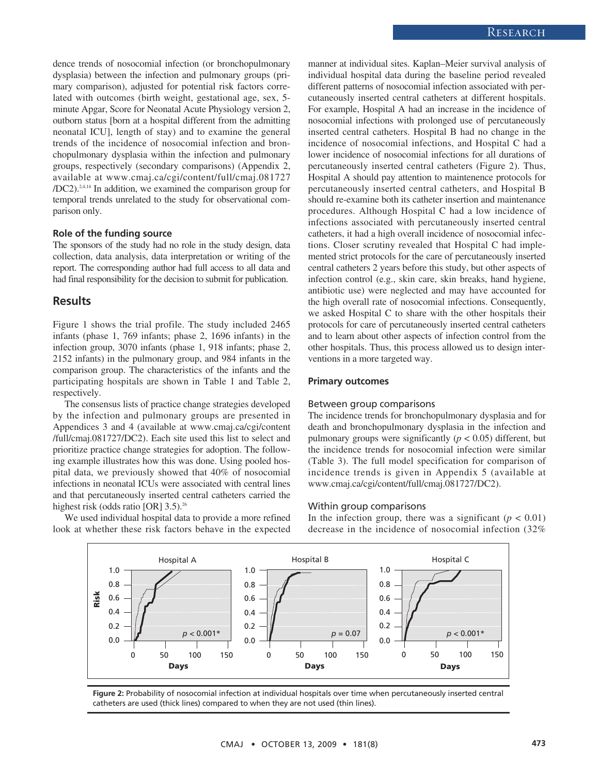dence trends of nosocomial infection (or bronchopulmonary dysplasia) between the infection and pulmonary groups (primary comparison), adjusted for potential risk factors correlated with outcomes (birth weight, gestational age, sex, 5 minute Apgar, Score for Neonatal Acute Physiology version 2, outborn status [born at a hospital different from the admitting neonatal ICU], length of stay) and to examine the general trends of the incidence of nosocomial infection and bronchopulmonary dysplasia within the infection and pulmonary groups, respectively (secondary comparisons) (Appendix 2, available at www.cmaj.ca/cgi/content/full/cmaj.081727 /DC2).<sup>2,4,14</sup> In addition, we examined the comparison group for temporal trends unrelated to the study for observational comparison only.

## **Role of the funding source**

The sponsors of the study had no role in the study design, data collection, data analysis, data interpretation or writing of the report. The corresponding author had full access to all data and had final responsibility for the decision to submit for publication.

## **Results**

Figure 1 shows the trial profile. The study included 2465 infants (phase 1, 769 infants; phase 2, 1696 infants) in the infection group, 3070 infants (phase 1, 918 infants; phase 2, 2152 infants) in the pulmonary group, and 984 infants in the comparison group. The characteristics of the infants and the participating hospitals are shown in Table 1 and Table 2, respectively.

The consensus lists of practice change strategies developed by the infection and pulmonary groups are presented in Appendices 3 and 4 (available at www.cmaj.ca/cgi/content /full /cmaj.081727/DC2). Each site used this list to select and prioritize practice change strategies for adoption. The following example illustrates how this was done. Using pooled hospital data, we previously showed that 40% of nosocomial infections in neonatal ICUs were associated with central lines and that percutaneously inserted central catheters carried the highest risk (odds ratio [OR] 3.5).<sup>26</sup>

We used individual hospital data to provide a more refined look at whether these risk factors behave in the expected manner at individual sites. Kaplan–Meier survival analysis of individual hospital data during the baseline period revealed different patterns of nosocomial infection associated with percutaneously inserted central catheters at different hospitals. For example, Hospital A had an increase in the incidence of nosocomial infections with prolonged use of percutaneously inserted central catheters. Hospital B had no change in the incidence of nosocomial infections, and Hospital C had a lower incidence of nosocomial infections for all durations of percutaneously inserted central catheters (Figure 2). Thus, Hospital A should pay attention to maintenence protocols for percutaneously inserted central catheters, and Hospital B should re-examine both its catheter insertion and maintenance procedures. Although Hospital C had a low incidence of infections associated with percutaneously inserted central catheters, it had a high overall incidence of nosocomial infections. Closer scrutiny revealed that Hospital C had implemented strict protocols for the care of percutaneously inserted central catheters 2 years before this study, but other aspects of infection control (e.g., skin care, skin breaks, hand hygiene, antibiotic use) were neglected and may have accounted for the high overall rate of nosocomial infections. Consequently, we asked Hospital C to share with the other hospitals their protocols for care of percutaneously inserted central catheters and to learn about other aspects of infection control from the other hospitals. Thus, this process allowed us to design interventions in a more targeted way.

## **Primary outcomes**

## Between group comparisons

The incidence trends for bronchopulmonary dysplasia and for death and bronchopulmonary dysplasia in the infection and pulmonary groups were significantly  $(p < 0.05)$  different, but the incidence trends for nosocomial infection were similar (Table 3). The full model specification for comparison of incidence trends is given in Appendix 5 (available at www.cmaj.ca/cgi/content/full/cmaj.081727/DC2).

## Within group comparisons

In the infection group, there was a significant  $(p < 0.01)$ decrease in the incidence of nosocomial infection (32%



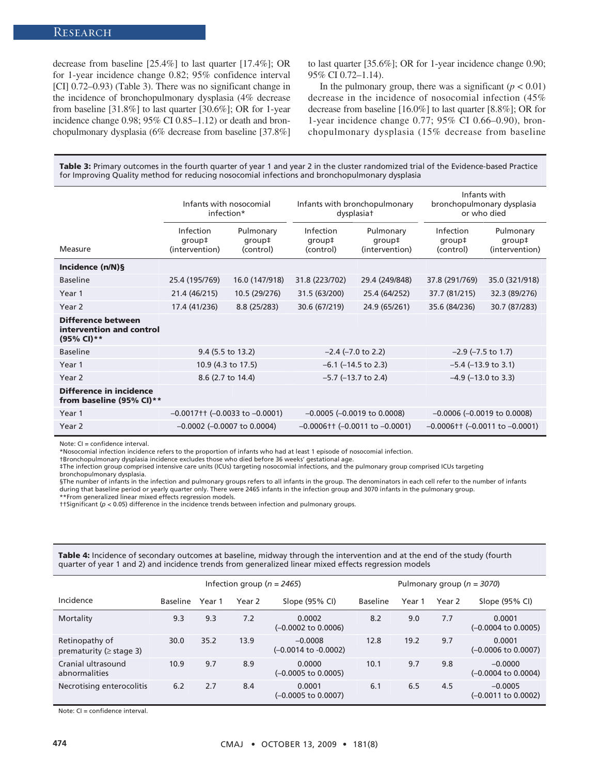decrease from baseline [25.4%] to last quarter [17.4%]; OR for 1-year incidence change 0.82; 95% confidence interval [CI] 0.72–0.93) (Table 3). There was no significant change in the incidence of bronchopulmonary dysplasia (4% decrease from baseline [31.8%] to last quarter [30.6%]; OR for 1-year incidence change 0.98; 95% CI 0.85–1.12) or death and bronchopulmonary dysplasia (6% decrease from baseline [37.8%] to last quarter [35.6%]; OR for 1-year incidence change 0.90; 95% CI 0.72–1.14).

In the pulmonary group, there was a significant  $(p < 0.01)$ decrease in the incidence of nosocomial infection (45% decrease from baseline [16.0%] to last quarter [8.8%]; OR for 1-year incidence change 0.77; 95% CI 0.66–0.90), bronchopulmonary dysplasia (15% decrease from baseline

**Table 3:** Primary outcomes in the fourth quarter of year 1 and year 2 in the cluster randomized trial of the Evidence-based Practice for Improving Quality method for reducing nosocomial infections and bronchopulmonary dysplasia

|                                                              | Infants with nosocomial<br>infection*  |                                  | Infants with bronchopulmonary<br>dysplasiat |                                       | Infants with<br>bronchopulmonary dysplasia<br>or who died |                                       |
|--------------------------------------------------------------|----------------------------------------|----------------------------------|---------------------------------------------|---------------------------------------|-----------------------------------------------------------|---------------------------------------|
| Measure                                                      | Infection<br>qroup‡<br>(intervention)  | Pulmonary<br>qroup‡<br>(control) | Infection<br>qroup‡<br>(control)            | Pulmonary<br>group‡<br>(intervention) | Infection<br>group#<br>(control)                          | Pulmonary<br>group#<br>(intervention) |
| Incidence (n/N)§                                             |                                        |                                  |                                             |                                       |                                                           |                                       |
| <b>Baseline</b>                                              | 25.4 (195/769)                         | 16.0 (147/918)                   | 31.8 (223/702)                              | 29.4 (249/848)                        | 37.8 (291/769)                                            | 35.0 (321/918)                        |
| Year 1                                                       | 21.4 (46/215)                          | 10.5 (29/276)                    | 31.5 (63/200)                               | 25.4 (64/252)                         | 37.7 (81/215)                                             | 32.3 (89/276)                         |
| Year <sub>2</sub>                                            | 17.4 (41/236)                          | 8.8 (25/283)                     | 30.6 (67/219)                               | 24.9 (65/261)                         | 35.6 (84/236)                                             | 30.7 (87/283)                         |
| Difference between<br>intervention and control<br>(95% CI)** |                                        |                                  |                                             |                                       |                                                           |                                       |
| <b>Baseline</b>                                              | 9.4 (5.5 to 13.2)                      |                                  | $-2.4$ ( $-7.0$ to 2.2)                     |                                       | $-2.9$ ( $-7.5$ to 1.7)                                   |                                       |
| Year 1                                                       | 10.9 (4.3 to 17.5)                     |                                  | $-6.1$ ( $-14.5$ to 2.3)                    |                                       | $-5.4$ ( $-13.9$ to 3.1)                                  |                                       |
| Year 2                                                       | 8.6 (2.7 to 14.4)                      |                                  | $-5.7$ ( $-13.7$ to 2.4)                    |                                       | $-4.9$ (-13.0 to 3.3)                                     |                                       |
| Difference in incidence<br>from baseline (95% CI)**          |                                        |                                  |                                             |                                       |                                                           |                                       |
| Year 1                                                       | $-0.0017$ + ( $-0.0033$ to $-0.0001$ ) |                                  | $-0.0005$ ( $-0.0019$ to 0.0008)            |                                       | $-0.0006$ ( $-0.0019$ to 0.0008)                          |                                       |
| Year 2                                                       | $-0.0002$ ( $-0.0007$ to 0.0004)       |                                  | $-0.0006$ + ( $-0.0011$ to $-0.0001$ )      |                                       | $-0.0006$ † ( $-0.0011$ to $-0.0001$ )                    |                                       |

Note: CI = confidence interval.

\*Nosocomial infection incidence refers to the proportion of infants who had at least 1 episode of nosocomial infection.

†Bronchopulmonary dysplasia incidence excludes those who died before 36 weeks' gestational age.

‡The infection group comprised intensive care units (ICUs) targeting nosocomial infections, and the pulmonary group comprised ICUs targeting

bronchopulmonary dysplasia.

§The number of infants in the infection and pulmonary groups refers to all infants in the group. The denominators in each cell refer to the number of infants during that baseline period or yearly quarter only. There were 2465 infants in the infection group and 3070 infants in the pulmonary group. \*\*From generalized linear mixed effects regression models.

††Significant (*p* < 0.05) difference in the incidence trends between infection and pulmonary groups.

**Table 4:** Incidence of secondary outcomes at baseline, midway through the intervention and at the end of the study (fourth quarter of year 1 and 2) and incidence trends from generalized linear mixed effects regression models

|                                                |                 | Infection group ( $n = 2465$ ) |                   |                                          | Pulmonary group ( $n = 3070$ ) |        |        |                                             |
|------------------------------------------------|-----------------|--------------------------------|-------------------|------------------------------------------|--------------------------------|--------|--------|---------------------------------------------|
| Incidence                                      | <b>Baseline</b> | Year 1                         | Year <sub>2</sub> | Slope (95% CI)                           | <b>Baseline</b>                | Year 1 | Year 2 | Slope (95% CI)                              |
| Mortality                                      | 9.3             | 9.3                            | 7.2               | 0.0002<br>$(-0.0002 \text{ to } 0.0006)$ | 8.2                            | 9.0    | 7.7    | 0.0001<br>$(-0.0004 \text{ to } 0.0005)$    |
| Retinopathy of<br>prematurity ( $\ge$ stage 3) | 30.0            | 35.2                           | 13.9              | $-0.0008$<br>$(-0.0014$ to $-0.0002)$    | 12.8                           | 19.2   | 9.7    | 0.0001<br>$(-0.0006 \text{ to } 0.0007)$    |
| Cranial ultrasound<br>abnormalities            | 10.9            | 9.7                            | 8.9               | 0.0000<br>$(-0.0005$ to $0.0005)$        | 10.1                           | 9.7    | 9.8    | $-0.0000$<br>$(-0.0004 \text{ to } 0.0004)$ |
| Necrotising enterocolitis                      | 6.2             | 2.7                            | 8.4               | 0.0001<br>$(-0.0005$ to $0.0007)$        | 6.1                            | 6.5    | 4.5    | $-0.0005$<br>$(-0.0011$ to $0.0002)$        |

Note: CI = confidence interval.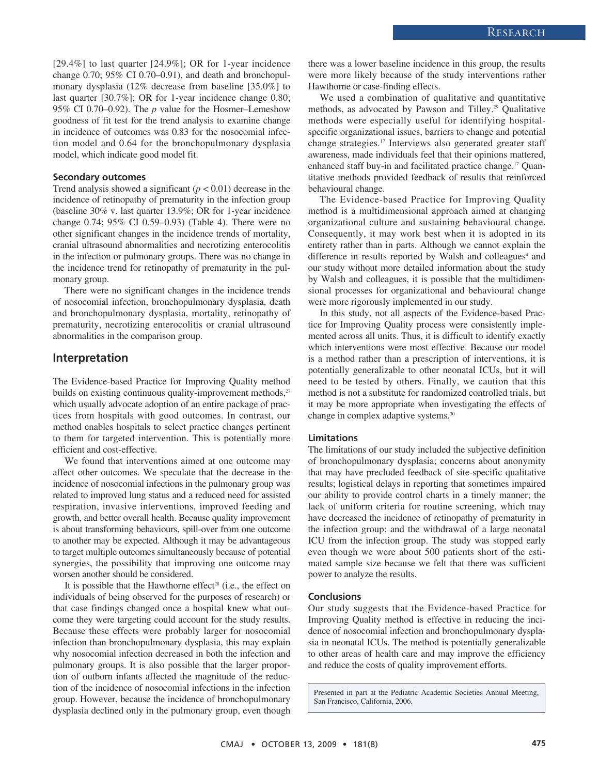[29.4%] to last quarter [24.9%]; OR for 1-year incidence change 0.70; 95% CI 0.70–0.91), and death and bronchopulmonary dysplasia (12% decrease from baseline [35.0%] to last quarter [30.7%]; OR for 1-year incidence change 0.80; 95% CI 0.70–0.92). The *p* value for the Hosmer–Lemeshow goodness of fit test for the trend analysis to examine change in incidence of outcomes was 0.83 for the nosocomial infection model and 0.64 for the bronchopulmonary dysplasia model, which indicate good model fit.

## **Secondary outcomes**

Trend analysis showed a significant  $(p < 0.01)$  decrease in the incidence of retinopathy of prematurity in the infection group (baseline 30% v. last quarter 13.9%; OR for 1-year incidence change 0.74; 95% CI 0.59–0.93) (Table 4). There were no other significant changes in the incidence trends of mortality, cranial ultrasound abnormalities and necrotizing enterocolitis in the infection or pulmonary groups. There was no change in the incidence trend for retinopathy of prematurity in the pulmonary group.

There were no significant changes in the incidence trends of nosocomial infection, bronchopulmonary dysplasia, death and bronchopulmonary dysplasia, mortality, retinopathy of prematurity, necrotizing enterocolitis or cranial ultrasound abnormalities in the comparison group.

## **Interpretation**

The Evidence-based Practice for Improving Quality method builds on existing continuous quality-improvement methods,<sup>27</sup> which usually advocate adoption of an entire package of practices from hospitals with good outcomes. In contrast, our method enables hospitals to select practice changes pertinent to them for targeted intervention. This is potentially more efficient and cost-effective.

We found that interventions aimed at one outcome may affect other outcomes. We speculate that the decrease in the incidence of nosocomial infections in the pulmonary group was related to improved lung status and a reduced need for assisted respiration, invasive interventions, improved feeding and growth, and better overall health. Because quality improvement is about transforming behaviours, spill-over from one outcome to another may be expected. Although it may be advantageous to target multiple outcomes simultaneously because of potential synergies, the possibility that improving one outcome may worsen another should be considered.

It is possible that the Hawthorne effect<sup>28</sup> (i.e., the effect on individuals of being observed for the purposes of research) or that case findings changed once a hospital knew what outcome they were targeting could account for the study results. Because these effects were probably larger for nosocomial infection than bronchopulmonary dysplasia, this may explain why nosocomial infection decreased in both the infection and pulmonary groups. It is also possible that the larger proportion of outborn infants affected the magnitude of the reduction of the incidence of nosocomial infections in the infection group. However, because the incidence of bronchopulmonary dysplasia declined only in the pulmonary group, even though there was a lower baseline incidence in this group, the results were more likely because of the study interventions rather Hawthorne or case-finding effects.

We used a combination of qualitative and quantitative methods, as advocated by Pawson and Tilley.<sup>29</sup> Qualitative methods were especially useful for identifying hospitalspecific organizational issues, barriers to change and potential change strategies.17 Interviews also generated greater staff awareness, made individuals feel that their opinions mattered, enhanced staff buy-in and facilitated practice change.<sup>17</sup> Quantitative methods provided feedback of results that reinforced behavioural change.

The Evidence-based Practice for Improving Quality method is a multidimensional approach aimed at changing organizational culture and sustaining behavioural change. Consequently, it may work best when it is adopted in its entirety rather than in parts. Although we cannot explain the difference in results reported by Walsh and colleagues<sup>4</sup> and our study without more detailed information about the study by Walsh and colleagues, it is possible that the multidimensional processes for organizational and behavioural change were more rigorously implemented in our study.

In this study, not all aspects of the Evidence-based Practice for Improving Quality process were consistently implemented across all units. Thus, it is difficult to identify exactly which interventions were most effective. Because our model is a method rather than a prescription of interventions, it is potentially generalizable to other neonatal ICUs, but it will need to be tested by others. Finally, we caution that this method is not a substitute for randomized controlled trials, but it may be more appropriate when investigating the effects of change in complex adaptive systems.<sup>30</sup>

## **Limitations**

The limitations of our study included the subjective definition of bronchopulmonary dysplasia; concerns about anonymity that may have precluded feedback of site-specific qualitative results; logistical delays in reporting that sometimes impaired our ability to provide control charts in a timely manner; the lack of uniform criteria for routine screening, which may have decreased the incidence of retinopathy of prematurity in the infection group; and the withdrawal of a large neonatal ICU from the infection group. The study was stopped early even though we were about 500 patients short of the estimated sample size because we felt that there was sufficient power to analyze the results.

## **Conclusions**

Our study suggests that the Evidence-based Practice for Improving Quality method is effective in reducing the incidence of nosocomial infection and bronchopulmonary dysplasia in neonatal ICUs. The method is potentially generalizable to other areas of health care and may improve the efficiency and reduce the costs of quality improvement efforts.

Presented in part at the Pediatric Academic Societies Annual Meeting, San Francisco, California, 2006.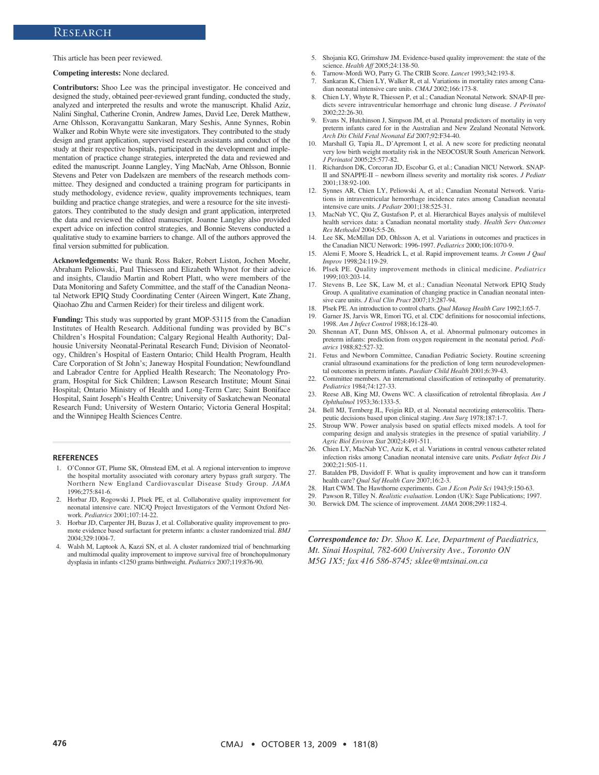This article has been peer reviewed.

#### **Competing interests:** None declared.

**Contributors:** Shoo Lee was the principal investigator. He conceived and designed the study, obtained peer-reviewed grant funding, conducted the study, analyzed and interpreted the results and wrote the manuscript. Khalid Aziz, Nalini Singhal, Catherine Cronin, Andrew James, David Lee, Derek Matthew, Arne Ohlsson, Koravangattu Sankaran, Mary Seshis, Anne Synnes, Robin Walker and Robin Whyte were site investigators. They contributed to the study design and grant application, supervised research assistants and conduct of the study at their respective hospitals, participated in the development and implementation of practice change strategies, interpreted the data and reviewed and edited the manuscript. Joanne Langley, Ying MacNab, Arne Ohlsson, Bonnie Stevens and Peter von Dadelszen are members of the research methods committee. They designed and conducted a training program for participants in study methodology, evidence review, quality improvements techniques, team building and practice change strategies, and were a resource for the site investigators. They contributed to the study design and grant application, interpreted the data and reviewed the edited manuscript. Joanne Langley also provided expert advice on infection control strategies, and Bonnie Stevens conducted a qualitative study to examine barriers to change. All of the authors approved the final version submitted for publication.

**Acknowledgements:** We thank Ross Baker, Robert Liston, Jochen Moehr, Abraham Peliowski, Paul Thiessen and Elizabeth Whynot for their advice and insights, Claudio Martin and Robert Platt, who were members of the Data Monitoring and Safety Committee, and the staff of the Canadian Neonatal Network EPIQ Study Coordinating Center (Aireen Wingert, Kate Zhang, Qiaohao Zhu and Carmen Reider) for their tireless and diligent work.

**Funding:** This study was supported by grant MOP-53115 from the Canadian Institutes of Health Research. Additional funding was provided by BC's Children's Hospital Foundation; Calgary Regional Health Authority; Dalhousie University Neonatal-Perinatal Research Fund; Division of Neonatology, Children's Hospital of Eastern Ontario; Child Health Program, Health Care Corporation of St John's; Janeway Hospital Foundation; Newfoundland and Labrador Centre for Applied Health Research; The Neonatology Program, Hospital for Sick Children; Lawson Research Institute; Mount Sinai Hospital; Ontario Ministry of Health and Long-Term Care; Saint Boniface Hospital, Saint Joseph's Health Centre; University of Saskatchewan Neonatal Research Fund; University of Western Ontario; Victoria General Hospital; and the Winnipeg Health Sciences Centre.

#### **REFERENCES**

- 1. O'Connor GT, Plume SK, Olmstead EM, et al. A regional intervention to improve the hospital mortality associated with coronary artery bypass graft surgery. The Northern New England Cardiovascular Disease Study Group. *JAMA* 1996;275:841-6.
- 2. Horbar JD, Rogowski J, Plsek PE, et al. Collaborative quality improvement for neonatal intensive care. NIC/Q Project Investigators of the Vermont Oxford Network. *Pediatrics* 2001;107:14-22.
- Horbar JD, Carpenter JH, Buzas J, et al. Collaborative quality improvement to promote evidence based surfactant for preterm infants: a cluster randomized trial. *BMJ* 2004;329:1004-7.
- Walsh M, Laptook A, Kazzi SN, et al. A cluster randomized trial of benchmarking and multimodal quality improvement to improve survival free of bronchopulmonary dysplasia in infants <1250 grams birthweight. *Pediatrics* 2007;119:876-90.
- 5. Shojania KG, Grimshaw JM. Evidence-based quality improvement: the state of the science. *Health Aff* 2005;24:138-50.
- 6. Tarnow-Mordi WO, Parry G. The CRIB Score. *Lancet* 1993;342:193-8.
- 7. Sankaran K, Chien LY, Walker R, et al. Variations in mortality rates among Canadian neonatal intensive care units. *CMAJ* 2002;166:173-8.
- 8. Chien LY, Whyte R, Thiessen P, et al.; Canadian Neonatal Network. SNAP-II predicts severe intraventricular hemorrhage and chronic lung disease. *J Perinatol* 2002;22:26-30.
- 9. Evans N, Hutchinson J, Simpson JM, et al. Prenatal predictors of mortality in very preterm infants cared for in the Australian and New Zealand Neonatal Network. *Arch Dis Child Fetal Neonatal Ed* 2007;92:F34-40.
- 10. Marshall G, Tapia JL, D'Apremont I, et al. A new score for predicting neonatal very low birth weight mortality risk in the NEOCOSUR South American Network. *J Perinatol* 2005;25:577-82.
- 11. Richardson DK, Corcoran JD, Escobar G, et al.; Canadian NICU Network. SNAP-II and SNAPPE-II – newborn illness severity and mortality risk scores. *J Pediatr* 2001;138:92-100.
- Synnes AR, Chien LY, Peliowski A, et al.; Canadian Neonatal Network. Variations in intraventricular hemorrhage incidence rates among Canadian neonatal intensive care units. *J Pediatr* 2001;138:525-31.
- 13. MacNab YC, Qiu Z, Gustafson P, et al. Hierarchical Bayes analysis of multilevel health services data: a Canadian neonatal mortality study. *Health Serv Outcomes Res Methodol* 2004;5:5-26.
- 14. Lee SK, McMillan DD, Ohlsson A, et al. Variations in outcomes and practices in the Canadian NICU Network: 1996-1997. *Pediatrics* 2000;106:1070-9.
- 15. Alemi F, Moore S, Headrick L, et al. Rapid improvement teams. *Jt Comm J Qual Improv* 1998;24:119-29.
- 16. Plsek PE. Quality improvement methods in clinical medicine. *Pediatrics* 1999;103:203-14.
- 17. Stevens B, Lee SK, Law M, et al.; Canadian Neonatal Network EPIQ Study Group. A qualitative examination of changing practice in Canadian neonatal intensive care units. *J Eval Clin Pract* 2007;13:287-94.
- 18. Plsek PE. An introduction to control charts. *Qual Manag Health Care* 1992;1:65-7.
- 19. Garner JS, Jarvis WR, Emori TG, et al. CDC definitions for nosocomial infections, 1998. *Am J Infect Control* 1988;16:128-40.
- 20. Shennan AT, Dunn MS, Ohlsson A, et al. Abnormal pulmonary outcomes in preterm infants: prediction from oxygen requirement in the neonatal period. *Pediatrics* 1988;82:527-32.
- 21. Fetus and Newborn Committee, Canadian Pediatric Society. Routine screening cranial ultrasound examinations for the prediction of long term neurodevelopmental outcomes in preterm infants. *Paediatr Child Health* 2001;6:39-43.
- 22. Committee members. An international classification of retinopathy of prematurity. *Pediatrics* 1984;74:127-33.
- 23. Reese AB, King MJ, Owens WC. A classification of retrolental fibroplasia. *Am J Ophthalmol* 1953;36:1333-5.
- 24. Bell MJ, Ternberg JL, Feigin RD, et al. Neonatal necrotizing enterocolitis. Therapeutic decisions based upon clinical staging. *Ann Surg* 1978;187:1-7.
- 25. Stroup WW. Power analysis based on spatial effects mixed models. A tool for comparing design and analysis strategies in the presence of spatial variability. *J Agric Biol Environ Stat* 2002;4:491-511.
- 26. Chien LY, MacNab YC, Aziz K, et al. Variations in central venous catheter related infection risks among Canadian neonatal intensive care units. *Pediatr Infect Dis J* 2002;21:505-11.
- Batalden PB, Davidoff F. What is quality improvement and how can it transform health care? *Qual Saf Health Care* 2007;16:2-3.
- 28. Hart CWM. The Hawthorne experiments. *Can J Econ Polit Sci* 1943;9:150-63.<br>29. Pawson R. Tillev N. *Realistic evaluation*. London (UK): Sage Publications: 19
- 29. Pawson R, Tilley N. *Realistic evaluation*. London (UK): Sage Publications; 1997.
- 30. Berwick DM. The science of improvement. *JAMA* 2008;299:1182-4.

*Correspondence to: Dr. Shoo K. Lee, Department of Paediatrics, Mt. Sinai Hospital, 782-600 University Ave., Toronto ON M5G 1X5; fax 416 586-8745; sklee@mtsinai.on.ca*